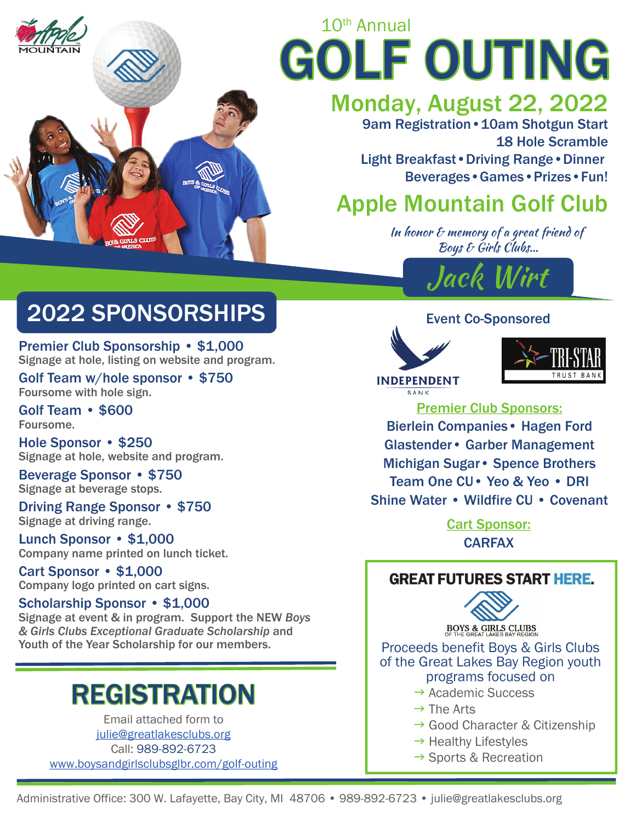

# 10th Annual GOLF OUTING

## Monday, August 22, 2022

9am Registration • 10am Shotgun Start 18 Hole Scramble Light Breakfast•Driving Range•Dinner Beverages•Games•Prizes•Fun!

## Apple Mountain Golf Club

In honor  $\epsilon$  memory of a great friend of Boys & Girls Clubs…



## Event Co-Sponsored





**INDEPENDENT RANK** 

Premier Club Sponsors:

Bierlein Companies• Hagen Ford Glastender• Garber Management Michigan Sugar• Spence Brothers Team One CU• Yeo & Yeo • DRI Shine Water • Wildfire CU • Covenant

> Cart Sponsor: CARFAX

## **GREAT FUTURES START HERE.**



**BOYS & GIRLS CLUBS** 

Proceeds benefit Boys & Girls Clubs of the Great Lakes Bay Region youth programs focused on

- $\rightarrow$  Academic Success
- $\rightarrow$  The Arts
- → Good Character & Citizenship
- $\rightarrow$  Healthy Lifestyles
- $\rightarrow$  Sports & Recreation

## 2022 SPONSORSHIPS

Premier Club Sponsorship • \$1,000 Signage at hole, listing on website and program.

Golf Team w/hole sponsor • \$750 Foursome with hole sign.

Golf Team • \$600 Foursome.

Hole Sponsor • \$250 Signage at hole, website and program.

Beverage Sponsor • \$750 Signage at beverage stops.

Driving Range Sponsor • \$750 Signage at driving range.

Lunch Sponsor • \$1,000 Company name printed on lunch ticket.

Cart Sponsor • \$1,000 Company logo printed on cart signs.

### Scholarship Sponsor • \$1,000

Signage at event & in program. Support the NEW *Boys & Girls Clubs Exceptional Graduate Scholarship* and Youth of the Year Scholarship for our members.

## REGISTRATION

Email attached form to julie@greatlakesclubs.org Call: 989-892-6723 www.boysandgirlsclubsglbr.com/golf-outing